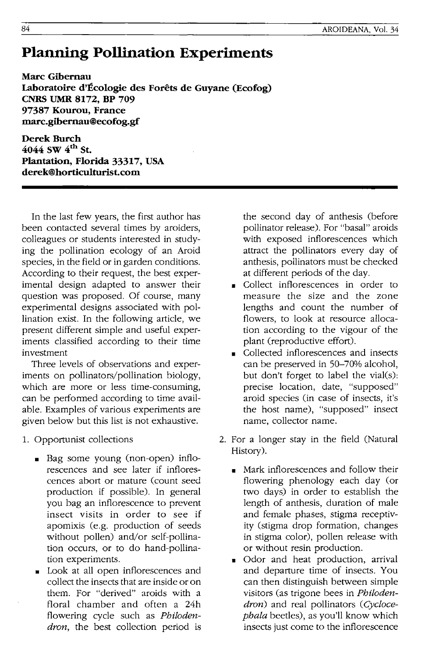## **Planning Pollination Experiments**

**Marc Gibernau Laboratoire d'Ecologie des Forets de Guyane (Ecofog) CNRS UMR 8172, BP 709**  97387 Kourou, France **marc.gibernau@ecofog.gf** 

Derek Burch **4044 SW 4th St. Plantation, Florida 33317, USA derek@horticulturlst.com** 

In the last few years, the first author has been contacted several times by aroiders, colleagues or students interested in studying the pollination ecology of an Aroid species, in the field or in garden conditions. According to their request, the best experimental design adapted to answer their question was proposed. Of course, many experimental designs associated with pollination exist. In the following article, we present different simple and useful experiments classified according to their time investment

Three levels of observations and experiments on pollinators/pollination biology, which are more or less time-consuming, can be performed according to time available. Examples of various experiments are given below but this list is not exhaustive.

- 1. Opportunist collections
	- Bag some young (non-open) inflorescences and see later if inflorescences abort or mature (count seed production if possible). In general you bag an inflorescence to prevent insect visits in order to see if apomixis (e.g. production of seeds without pollen) and/or self-pollination occurs, or to do hand-pollination experiments.
	- Look at all open inflorescences and collect the insects that are inside or on them. For "derived" aroids with a floral chamber and often a 24h flowering cycle such as *Philodendron,* the best collection period is

the second day of anthesis (before pollinator release). For "basal" aroids with exposed inflorescences which attract the pollinators every day of anthesis, pollinators must be checked at different periods of the day.

- Collect inflorescences in order to measure the size and the zone lengths and count the number of flowers, to look at resource allocation according to the vigour of the plant (reproductive effort).
- Collected inflorescences and insects can be preserved in 50-70% alcohol, but don't forget to label the vial(s): precise location, date, "supposed" aroid species (in case of insects, it's the host name), "supposed" insect name, collector name.
- 2. For a longer stay in the field (Natural History).
	- Mark inflorescences and follow their flowering phenology each day (or two days) in order to establish the length of anthesis, duration of male and female phases, stigma receptivity (stigma drop formation, changes in stigma color), pollen release with or without resin production.
	- Odor and heat production, arrival and departure time of insects. You can then distinguish between simple visitors (as trigone bees in *Philodendron)* and real pollinators *(Cyclocephala* beetles), as you'll know which insects just come to the inflorescence